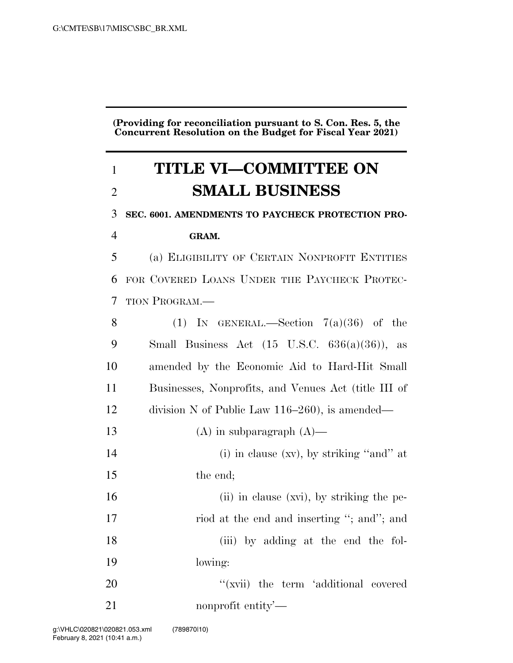**(Providing for reconciliation pursuant to S. Con. Res. 5, the Concurrent Resolution on the Budget for Fiscal Year 2021)** 

# **TITLE VI—COMMITTEE ON SMALL BUSINESS**

**SEC. 6001. AMENDMENTS TO PAYCHECK PROTECTION PRO-**

## **GRAM.**

 (a) ELIGIBILITY OF CERTAIN NONPROFIT ENTITIES FOR COVERED LOANS UNDER THE PAYCHECK PROTEC-TION PROGRAM.—

| 8             | (1) IN GENERAL.—Section $7(a)(36)$ of the                 |
|---------------|-----------------------------------------------------------|
| 9             | Small Business Act $(15 \text{ U.S.C. } 636(a)(36))$ , as |
| 10            | amended by the Economic Aid to Hard-Hit Small             |
| <sup>11</sup> | Businesses, Nonprofits, and Venues Act (title III of      |
| 12            | division N of Public Law $116-260$ , is amended—          |
| 13            | $(A)$ in subparagraph $(A)$ —                             |
| 14            | (i) in clause $(xv)$ , by striking "and" at               |
| 15            | the end;                                                  |
| 16            | (ii) in clause (xvi), by striking the pe-                 |
| 17            | riod at the end and inserting "; and"; and                |
| 18            | (iii) by adding at the end the fol-                       |
| 19            | lowing:                                                   |
| 20            | "(xvii) the term 'additional covered                      |
| 21            | nonprofit entity—                                         |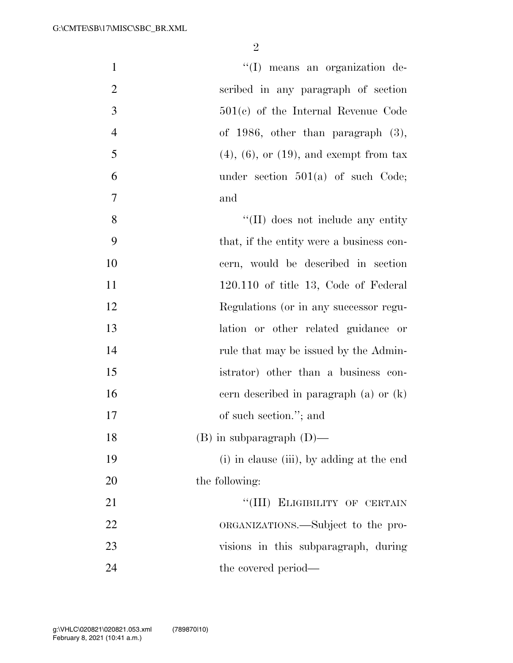| $\mathbf{1}$   | "(I) means an organization de-                  |
|----------------|-------------------------------------------------|
| $\overline{2}$ | scribed in any paragraph of section             |
| 3              | $501(e)$ of the Internal Revenue Code           |
| $\overline{4}$ | of 1986, other than paragraph $(3)$ ,           |
| 5              | $(4)$ , $(6)$ , or $(19)$ , and exempt from tax |
| 6              | under section $501(a)$ of such Code;            |
| $\overline{7}$ | and                                             |
| 8              | "(II) does not include any entity               |
| 9              | that, if the entity were a business con-        |
| 10             | cern, would be described in section             |
| 11             | $120.110$ of title 13, Code of Federal          |
| 12             | Regulations (or in any successor regu-          |
| 13             | lation or other related guidance or             |
| 14             | rule that may be issued by the Admin-           |
| 15             | istrator) other than a business con-            |
| 16             | cern described in paragraph $(a)$ or $(k)$      |
| 17             | of such section."; and                          |
| 18             | $(B)$ in subparagraph $(D)$ —                   |
| 19             | (i) in clause (iii), by adding at the end       |
| 20             | the following:                                  |
| 21             | "(III) ELIGIBILITY OF CERTAIN                   |
| 22             | ORGANIZATIONS.—Subject to the pro-              |
| 23             | visions in this subparagraph, during            |
| 24             | the covered period—                             |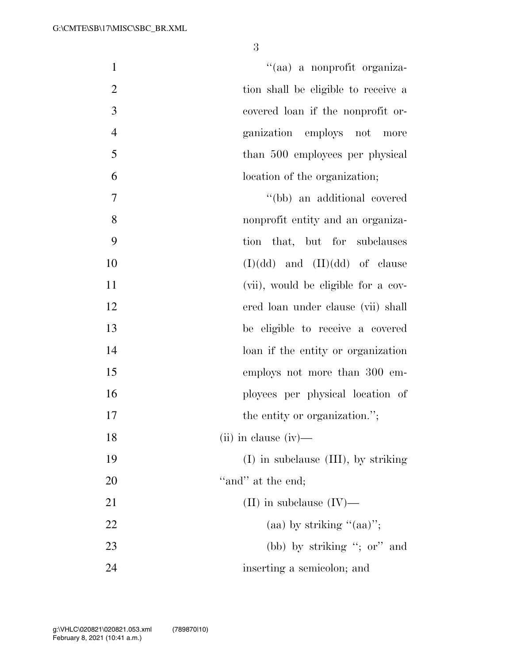| $\mathbf{1}$   | "(aa) a nonprofit organiza-         |
|----------------|-------------------------------------|
| $\mathbf{2}$   | tion shall be eligible to receive a |
| 3              | covered loan if the nonprofit or-   |
| $\overline{4}$ | ganization employs not<br>more      |
| 5              | than 500 employees per physical     |
| 6              | location of the organization;       |
| $\overline{7}$ | "(bb) an additional covered         |
| 8              | nonprofit entity and an organiza-   |
| 9              | tion that, but for subclauses       |
| 10             | $(I)(dd)$ and $(II)(dd)$ of clause  |
| 11             | (vii), would be eligible for a cov- |
| 12             | ered loan under clause (vii) shall  |
| 13             | be eligible to receive a covered    |
| 14             | loan if the entity or organization  |
| 15             | employs not more than 300 em-       |
| 16             | ployees per physical location of    |
| 17             | the entity or organization.";       |
| 18             | $(ii)$ in clause $(iv)$ —           |
| 19             | (I) in subclause (III), by striking |
| 20             | "and" at the end;                   |
| 21             | (II) in subclause $(IV)$ —          |
| 22             | (aa) by striking " $(aa)$ ";        |
| 23             | (bb) by striking "; or" and         |
| 24             | inserting a semicolon; and          |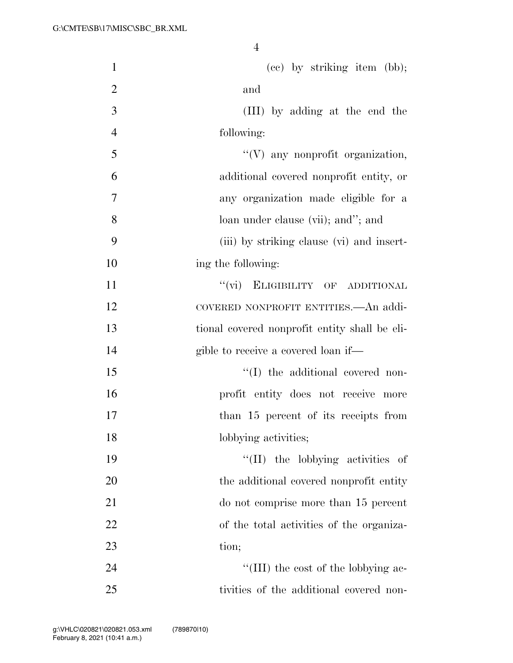| $\mathbf{1}$   | (cc) by striking item (bb);                   |
|----------------|-----------------------------------------------|
| $\overline{2}$ | and                                           |
| 3              | (III) by adding at the end the                |
| $\overline{4}$ | following:                                    |
| 5              | "(V) any nonprofit organization,              |
| 6              | additional covered nonprofit entity, or       |
| 7              | any organization made eligible for a          |
| 8              | loan under clause (vii); and"; and            |
| 9              | (iii) by striking clause (vi) and insert-     |
| 10             | ing the following:                            |
| 11             | "(vi) ELIGIBILITY OF ADDITIONAL               |
| 12             | COVERED NONPROFIT ENTITIES.—An addi-          |
| 13             | tional covered nonprofit entity shall be eli- |
| 14             | gible to receive a covered loan if—           |
| 15             | "(I) the additional covered non-              |
| 16             | profit entity does not receive more           |
| 17             | than 15 percent of its receipts from          |
| 18             | lobbying activities;                          |
| 19             | "(II) the lobbying activities of              |
| 20             | the additional covered nonprofit entity       |
| 21             | do not comprise more than 15 percent          |
| 22             | of the total activities of the organiza-      |
| 23             | tion;                                         |
| 24             | "(III) the cost of the lobbying ac-           |
| 25             | tivities of the additional covered non-       |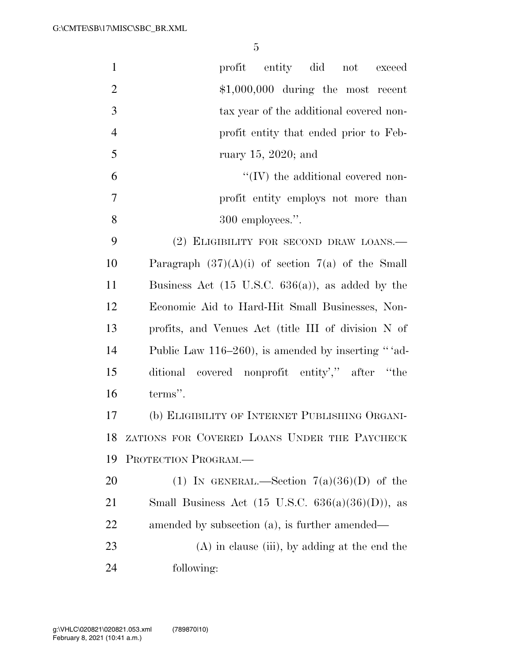| $\mathbf{1}$   | profit<br>entity did<br>not<br>exceed                        |
|----------------|--------------------------------------------------------------|
| $\overline{2}$ | $$1,000,000$ during the most recent                          |
| 3              | tax year of the additional covered non-                      |
| $\overline{4}$ | profit entity that ended prior to Feb-                       |
| 5              | ruary $15, 2020$ ; and                                       |
| 6              | $\lq\lq$ (IV) the additional covered non-                    |
| 7              | profit entity employs not more than                          |
| 8              | 300 employees.".                                             |
| 9              | (2) ELIGIBILITY FOR SECOND DRAW LOANS.—                      |
| 10             | Paragraph $(37)(A)(i)$ of section $7(a)$ of the Small        |
| 11             | Business Act $(15 \text{ U.S.C. } 636(a))$ , as added by the |
| 12             | Economic Aid to Hard-Hit Small Businesses, Non-              |
| 13             | profits, and Venues Act (title III of division N of          |
| 14             | Public Law 116-260), is amended by inserting "'ad-           |
| 15             | ditional covered nonprofit entity'," after "the              |
| 16             | terms".                                                      |
| 17             | (b) ELIGIBILITY OF INTERNET PUBLISHING ORGANI-               |
| 18             | ZATIONS FOR COVERED LOANS UNDER THE PAYCHECK                 |
| 19             | PROTECTION PROGRAM.                                          |
| 20             | (1) IN GENERAL.—Section $7(a)(36)(D)$ of the                 |
| 21             | Small Business Act $(15 \text{ U.S.C. } 636(a)(36)(D))$ , as |
| 22             | amended by subsection (a), is further amended—               |
| 23             | $(A)$ in clause (iii), by adding at the end the              |
| 24             | following:                                                   |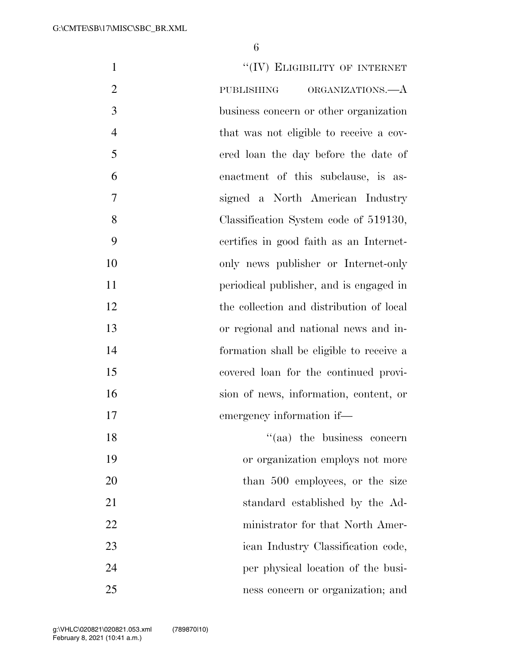| $\mathbf{1}$   | "(IV) ELIGIBILITY OF INTERNET            |
|----------------|------------------------------------------|
| $\overline{2}$ | ORGANIZATIONS.—A<br>PUBLISHING           |
| 3              | business concern or other organization   |
| $\overline{4}$ | that was not eligible to receive a cov-  |
| 5              | ered loan the day before the date of     |
| 6              | enactment of this subclause, is as-      |
| 7              | signed a North American Industry         |
| 8              | Classification System code of 519130,    |
| 9              | certifies in good faith as an Internet-  |
| 10             | only news publisher or Internet-only     |
| 11             | periodical publisher, and is engaged in  |
| 12             | the collection and distribution of local |
| 13             | or regional and national news and in-    |
| 14             | formation shall be eligible to receive a |
| 15             | covered loan for the continued provi-    |
| 16             | sion of news, information, content, or   |
| 17             | emergency information if-                |
| 18             | "(aa) the business concern               |
| 19             | or organization employs not more         |
| 20             | than 500 employees, or the size          |
| 21             | standard established by the Ad-          |
| 22             | ministrator for that North Amer-         |
| 23             | ican Industry Classification code,       |
| 24             | per physical location of the busi-       |
| 25             | ness concern or organization; and        |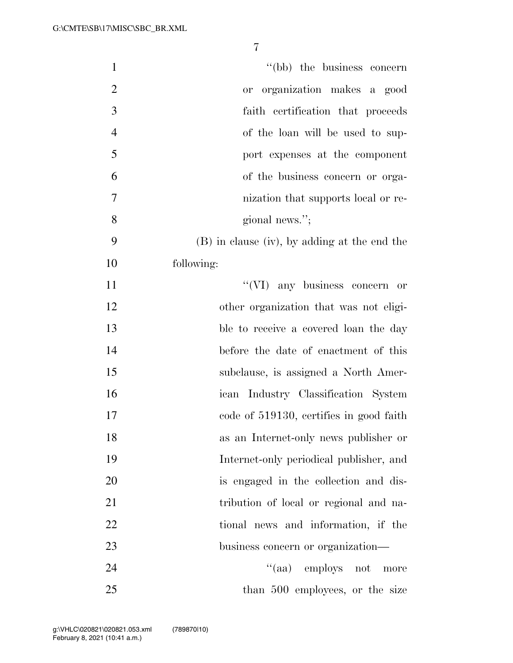| $\mathbf{1}$   | "(bb) the business concern                     |
|----------------|------------------------------------------------|
| $\overline{2}$ | or organization makes a good                   |
| 3              | faith certification that proceeds              |
| $\overline{4}$ | of the loan will be used to sup-               |
| 5              | port expenses at the component                 |
| 6              | of the business concern or orga-               |
| 7              | nization that supports local or re-            |
| 8              | gional news.";                                 |
| 9              | $(B)$ in clause (iv), by adding at the end the |
| 10             | following:                                     |
| 11             | $\lq\lq$ (VI) any business concern or          |
| 12             | other organization that was not eligi-         |
| 13             | ble to receive a covered loan the day          |
| 14             | before the date of enactment of this           |
| 15             | subclause, is assigned a North Amer-           |
| 16             | ican Industry Classification System            |
| 17             | code of 519130, certifies in good faith        |
| 18             | as an Internet-only news publisher or          |
| 19             | Internet-only periodical publisher, and        |
| 20             | is engaged in the collection and dis-          |
| 21             | tribution of local or regional and na-         |
| 22             | tional news and information, if the            |
| 23             | business concern or organization—              |
| 24             | "(aa) employs not<br>more                      |
| 25             | than 500 employees, or the size                |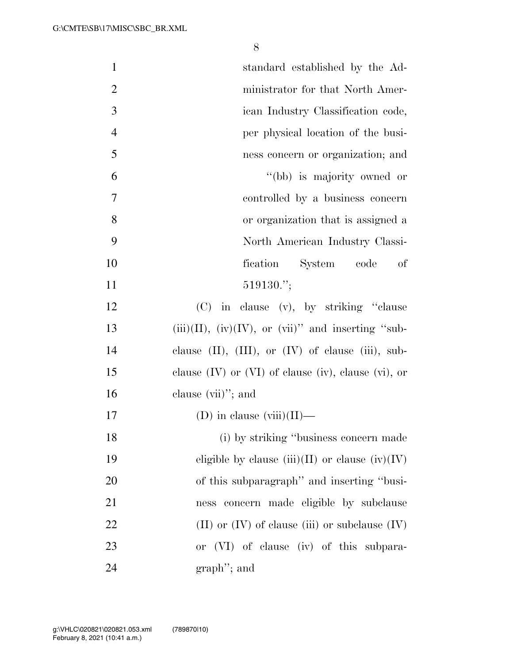| $\mathbf{1}$   | standard established by the Ad-                               |
|----------------|---------------------------------------------------------------|
| $\overline{2}$ | ministrator for that North Amer-                              |
| 3              | ican Industry Classification code,                            |
| $\overline{4}$ | per physical location of the busi-                            |
| 5              | ness concern or organization; and                             |
| 6              | "(bb) is majority owned or                                    |
| $\tau$         | controlled by a business concern                              |
| 8              | or organization that is assigned a                            |
| 9              | North American Industry Classi-                               |
| 10             | fication System code<br>of                                    |
| 11             | $519130$ .";                                                  |
| 12             | (C) in clause (v), by striking "clause                        |
| 13             | $(iii)(II)$ , $(iv)(IV)$ , or $(vii)$ " and inserting "sub-   |
| 14             | clause $(II)$ , $(III)$ , or $(IV)$ of clause $(iii)$ , sub-  |
| 15             | clause $(IV)$ or $(VI)$ of clause $(iv)$ , clause $(vi)$ , or |
| 16             | clause $(vii)$ ; and                                          |
| 17             | (D) in clause $(viii)(II)$ —                                  |
| 18             | (i) by striking "business concern made                        |
| 19             | eligible by clause (iii)(II) or clause (iv)(IV)               |
| 20             | of this subparagraph" and inserting "busi-                    |
| 21             | ness concern made eligible by subclause                       |
| 22             | (II) or $(IV)$ of clause (iii) or subclause $(IV)$            |
| 23             | or (VI) of clause (iv) of this subpara-                       |
| 24             | $graph$ "; and                                                |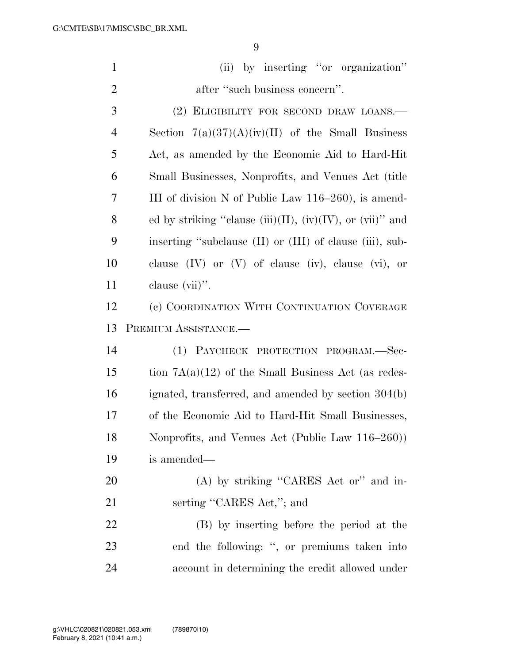| $\mathbf{1}$   | by inserting "or organization"<br>(ii)                       |
|----------------|--------------------------------------------------------------|
| $\overline{2}$ | after "such business concern".                               |
| 3              | (2) ELIGIBILITY FOR SECOND DRAW LOANS.—                      |
| $\overline{4}$ | Section $7(a)(37)(A)(iv)(II)$ of the Small Business          |
| 5              | Act, as amended by the Economic Aid to Hard-Hit              |
| 6              | Small Businesses, Nonprofits, and Venues Act (title          |
| 7              | III of division N of Public Law $116-260$ , is amend-        |
| 8              | ed by striking "clause (iii)(II), (iv)(IV), or (vii)" and    |
| 9              | inserting "subclause (II) or (III) of clause (iii), sub-     |
| 10             | clause $(IV)$ or $(V)$ of clause $(iv)$ , clause $(vi)$ , or |
| 11             | clause (vii)".                                               |
| 12             | (c) COORDINATION WITH CONTINUATION COVERAGE                  |
|                |                                                              |
| 13             | PREMIUM ASSISTANCE.-                                         |
| 14             | (1) PAYCHECK PROTECTION PROGRAM.-Sec-                        |
| 15             | tion $7A(a)(12)$ of the Small Business Act (as redes-        |
| 16             | ignated, transferred, and amended by section 304(b)          |
| 17             | of the Economic Aid to Hard-Hit Small Businesses,            |
| 18             | Nonprofits, and Venues Act (Public Law 116–260))             |
| 19             | is amended—                                                  |
| 20             | (A) by striking "CARES Act or" and in-                       |
| 21             | serting "CARES Act,"; and                                    |
| 22             | (B) by inserting before the period at the                    |
| 23             | end the following: ", or premiums taken into                 |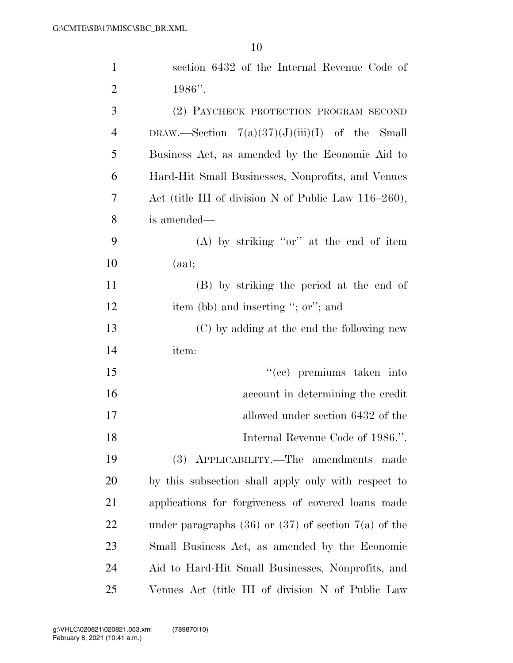| $\mathbf{1}$   | section 6432 of the Internal Revenue Code of               |
|----------------|------------------------------------------------------------|
| $\overline{2}$ | $1986"$ .                                                  |
| 3              | (2) PAYCHECK PROTECTION PROGRAM SECOND                     |
| $\overline{4}$ | DRAW.—Section $7(a)(37)(J)(iii)(I)$ of the Small           |
| 5              | Business Act, as amended by the Economic Aid to            |
| 6              | Hard-Hit Small Businesses, Nonprofits, and Venues          |
| 7              | Act (title III of division N of Public Law $116-260$ ),    |
| 8              | is amended—                                                |
| 9              | $(A)$ by striking "or" at the end of item                  |
| 10             | (aa);                                                      |
| 11             | (B) by striking the period at the end of                   |
| 12             | item (bb) and inserting "; or"; and                        |
| 13             | (C) by adding at the end the following new                 |
| 14             | item:                                                      |
| 15             | "(cc) premiums taken into                                  |
| 16             | account in determining the credit                          |
| 17             | allowed under section 6432 of the                          |
| 18             | Internal Revenue Code of 1986.".                           |
| 19             | (3) APPLICABILITY.—The amendments made                     |
| 20             | by this subsection shall apply only with respect to        |
| 21             | applications for forgiveness of covered loans made         |
| 22             | under paragraphs $(36)$ or $(37)$ of section $7(a)$ of the |
| 23             | Small Business Act, as amended by the Economic             |
| 24             | Aid to Hard-Hit Small Businesses, Nonprofits, and          |
| 25             | Venues Act (title III of division N of Public Law          |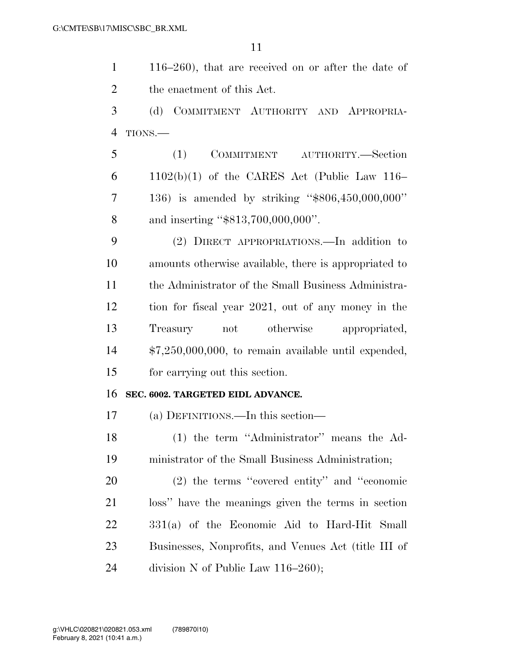116–260), that are received on or after the date of the enactment of this Act.

 (d) COMMITMENT AUTHORITY AND APPROPRIA-TIONS.—

 (1) COMMITMENT AUTHORITY.—Section 6 1102(b)(1) of the CARES Act (Public Law 116– 136) is amended by striking ''\$806,450,000,000'' 8 and inserting "\$813,700,000,000".

 (2) DIRECT APPROPRIATIONS.—In addition to amounts otherwise available, there is appropriated to the Administrator of the Small Business Administra- tion for fiscal year 2021, out of any money in the Treasury not otherwise appropriated, \$7,250,000,000, to remain available until expended, for carrying out this section.

#### **SEC. 6002. TARGETED EIDL ADVANCE.**

(a) DEFINITIONS.—In this section—

 (1) the term ''Administrator'' means the Ad-ministrator of the Small Business Administration;

 (2) the terms ''covered entity'' and ''economic loss'' have the meanings given the terms in section 331(a) of the Economic Aid to Hard-Hit Small Businesses, Nonprofits, and Venues Act (title III of 24 division N of Public Law 116–260);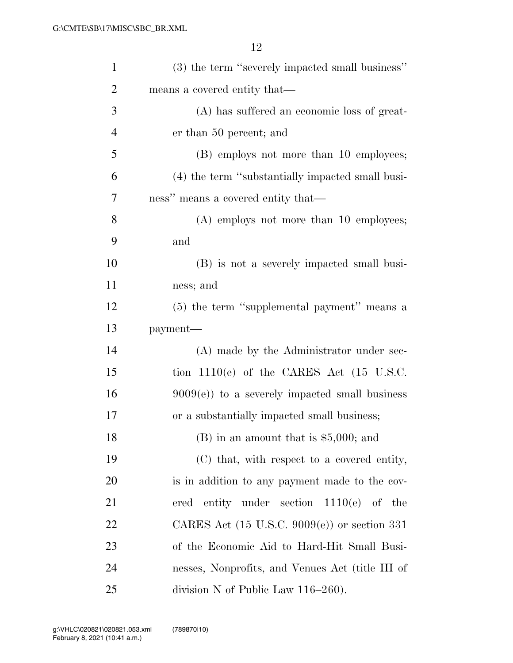| $\mathbf{1}$   | (3) the term "severely impacted small business"         |
|----------------|---------------------------------------------------------|
| $\overline{2}$ | means a covered entity that—                            |
| 3              | (A) has suffered an economic loss of great-             |
| 4              | er than 50 percent; and                                 |
| 5              | (B) employs not more than 10 employees;                 |
| 6              | (4) the term "substantially impacted small busi-        |
| 7              | ness" means a covered entity that—                      |
| 8              | $(A)$ employs not more than 10 employees;               |
| 9              | and                                                     |
| 10             | (B) is not a severely impacted small busi-              |
| 11             | ness; and                                               |
| 12             | (5) the term "supplemental payment" means a             |
| 13             | payment—                                                |
| 14             | (A) made by the Administrator under sec-                |
| 15             | tion $1110(e)$ of the CARES Act $(15 \text{ U.S.C.})$   |
| 16             | $9009(e)$ to a severely impacted small business         |
| 17             | or a substantially impacted small business;             |
| 18             | $(B)$ in an amount that is \$5,000; and                 |
| 19             | (C) that, with respect to a covered entity,             |
| 20             | is in addition to any payment made to the cov-          |
| 21             | entity under section $1110(e)$ of the<br>ered           |
| 22             | CARES Act $(15 \text{ U.S.C. } 9009(e))$ or section 331 |
| 23             | of the Economic Aid to Hard-Hit Small Busi-             |
| 24             | nesses, Nonprofits, and Venues Act (title III of        |
| 25             | division N of Public Law $116-260$ ).                   |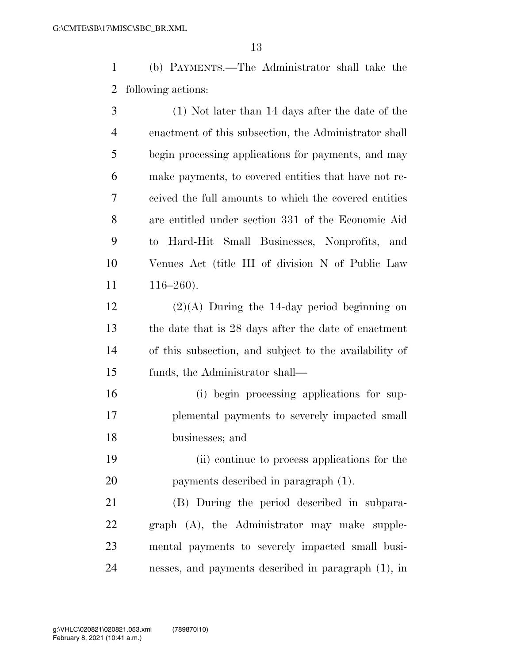(b) PAYMENTS.—The Administrator shall take the following actions:

 (1) Not later than 14 days after the date of the enactment of this subsection, the Administrator shall begin processing applications for payments, and may make payments, to covered entities that have not re- ceived the full amounts to which the covered entities are entitled under section 331 of the Economic Aid to Hard-Hit Small Businesses, Nonprofits, and Venues Act (title III of division N of Public Law 116–260).

 (2)(A) During the 14-day period beginning on the date that is 28 days after the date of enactment of this subsection, and subject to the availability of funds, the Administrator shall—

 (i) begin processing applications for sup- plemental payments to severely impacted small businesses; and

 (ii) continue to process applications for the payments described in paragraph (1).

 (B) During the period described in subpara- graph (A), the Administrator may make supple- mental payments to severely impacted small busi-nesses, and payments described in paragraph (1), in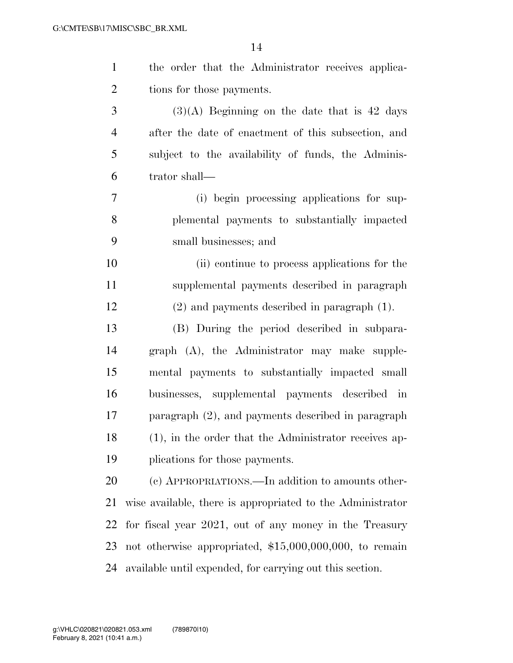| $\mathbf{1}$   | the order that the Administrator receives applica-         |
|----------------|------------------------------------------------------------|
| $\overline{2}$ | tions for those payments.                                  |
| 3              | $(3)(A)$ Beginning on the date that is 42 days             |
| $\overline{4}$ | after the date of enactment of this subsection, and        |
| 5              | subject to the availability of funds, the Adminis-         |
| 6              | trator shall—                                              |
| $\overline{7}$ | (i) begin processing applications for sup-                 |
| 8              | plemental payments to substantially impacted               |
| 9              | small businesses; and                                      |
| 10             | (ii) continue to process applications for the              |
| 11             | supplemental payments described in paragraph               |
| 12             | $(2)$ and payments described in paragraph $(1)$ .          |
| 13             | (B) During the period described in subpara-                |
| 14             | graph (A), the Administrator may make supple-              |
| 15             | mental payments to substantially impacted small            |
| 16             | businesses, supplemental payments described in             |
| 17             | paragraph (2), and payments described in paragraph         |
| 18             | (1), in the order that the Administrator receives ap-      |
| 19             | plications for those payments.                             |
| 20             | (c) APPROPRIATIONS.—In addition to amounts other-          |
| 21             | wise available, there is appropriated to the Administrator |
| 22             | for fiscal year 2021, out of any money in the Treasury     |
| 23             | not otherwise appropriated, $$15,000,000,000$ , to remain  |
| 24             | available until expended, for carrying out this section.   |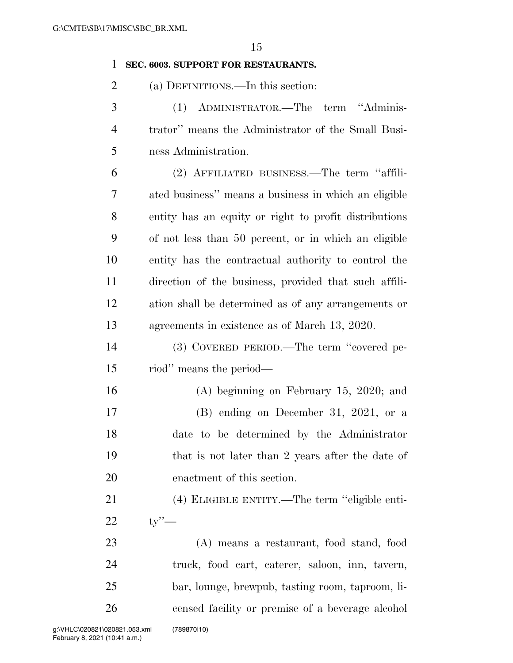### **SEC. 6003. SUPPORT FOR RESTAURANTS.**

(a) DEFINITIONS.—In this section:

 (1) ADMINISTRATOR.—The term ''Adminis- trator'' means the Administrator of the Small Busi-ness Administration.

 (2) AFFILIATED BUSINESS.—The term ''affili- ated business'' means a business in which an eligible entity has an equity or right to profit distributions of not less than 50 percent, or in which an eligible entity has the contractual authority to control the direction of the business, provided that such affili- ation shall be determined as of any arrangements or agreements in existence as of March 13, 2020.

 (3) COVERED PERIOD.—The term ''covered pe-riod'' means the period—

 (A) beginning on February 15, 2020; and (B) ending on December 31, 2021, or a date to be determined by the Administrator that is not later than 2 years after the date of enactment of this section.

 (4) ELIGIBLE ENTITY.—The term ''eligible enti-ty''—

 (A) means a restaurant, food stand, food truck, food cart, caterer, saloon, inn, tavern, bar, lounge, brewpub, tasting room, taproom, li-censed facility or premise of a beverage alcohol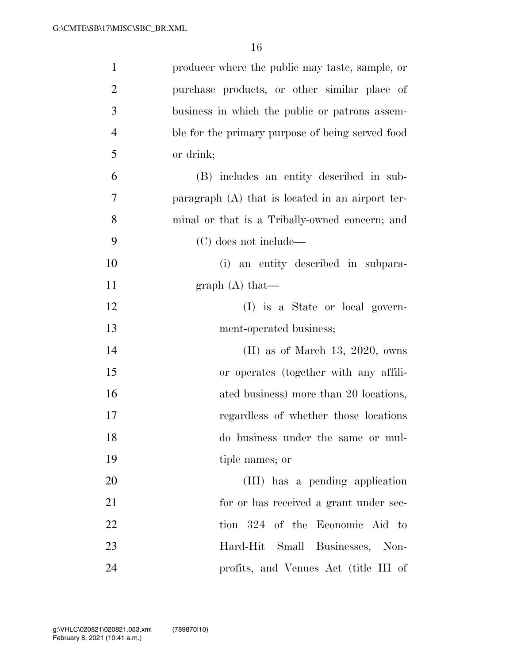| $\mathbf{1}$   | producer where the public may taste, sample, or  |
|----------------|--------------------------------------------------|
| $\overline{2}$ | purchase products, or other similar place of     |
| 3              | business in which the public or patrons assem-   |
| $\overline{4}$ | ble for the primary purpose of being served food |
| 5              | or drink;                                        |
| 6              | (B) includes an entity described in sub-         |
| 7              | paragraph (A) that is located in an airport ter- |
| 8              | minal or that is a Tribally-owned concern; and   |
| 9              | (C) does not include—                            |
| 10             | (i) an entity described in subpara-              |
| 11             | graph $(A)$ that—                                |
| 12             | (I) is a State or local govern-                  |
| 13             | ment-operated business;                          |
| 14             | $(II)$ as of March 13, 2020, owns                |
| 15             | or operates (together with any affili-           |
| 16             | ated business) more than 20 locations,           |
| 17             | regardless of whether those locations            |
| 18             | do business under the same or mul-               |
| 19             | tiple names; or                                  |
| 20             | (III) has a pending application                  |
| 21             | for or has received a grant under sec-           |
| 22             | tion 324 of the Economic Aid to                  |
| 23             | Hard-Hit Small Businesses, Non-                  |
| 24             | profits, and Venues Act (title III of            |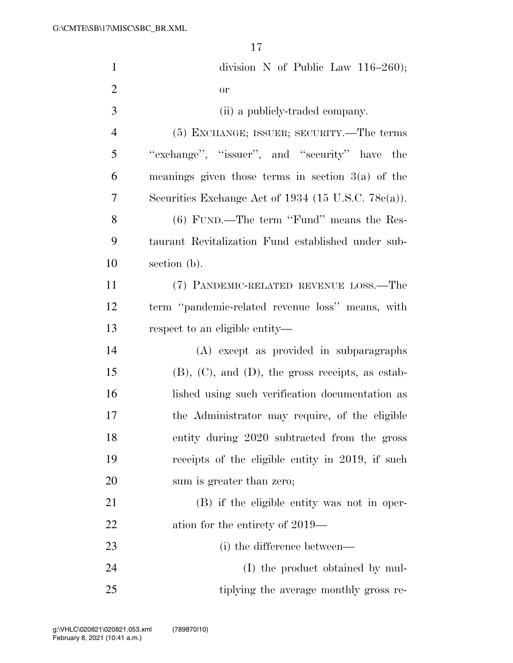| $\mathbf{1}$   | division N of Public Law $116-260$ ;                      |
|----------------|-----------------------------------------------------------|
| $\overline{2}$ | <b>or</b>                                                 |
| 3              | (ii) a publicly-traded company.                           |
| $\overline{4}$ | (5) EXCHANGE; ISSUER; SECURITY.—The terms                 |
| 5              | "exchange", "issuer", and "security" have the             |
| 6              | meanings given those terms in section $3(a)$ of the       |
| 7              | Securities Exchange Act of $1934$ (15 U.S.C. 78 $c(a)$ ). |
| 8              | $(6)$ FUND.—The term "Fund" means the Res-                |
| 9              | taurant Revitalization Fund established under sub-        |
| 10             | section (b).                                              |
| 11             | (7) PANDEMIC-RELATED REVENUE LOSS.—The                    |
| 12             | term "pandemic-related revenue loss" means, with          |
| 13             | respect to an eligible entity—                            |
| 14             | (A) except as provided in subparagraphs                   |
| 15             | $(B)$ , $(C)$ , and $(D)$ , the gross receipts, as estab- |
| 16             | lished using such verification documentation as           |
| 17             | the Administrator may require, of the eligible            |
| 18             | entity during 2020 subtracted from the gross              |
| 19             | receipts of the eligible entity in 2019, if such          |
| 20             | sum is greater than zero;                                 |
| 21             | (B) if the eligible entity was not in oper-               |
| 22             | ation for the entirety of 2019—                           |
| 23             | (i) the difference between—                               |
| 24             | (I) the product obtained by mul-                          |
| 25             | tiplying the average monthly gross re-                    |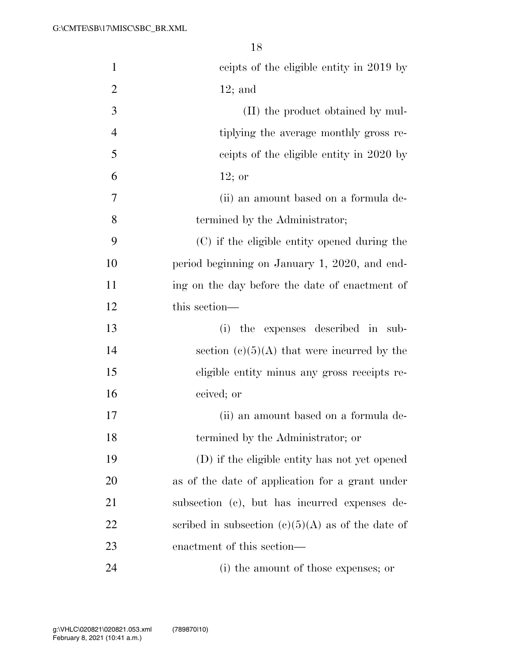| $\mathbf{1}$   | ceipts of the eligible entity in 2019 by            |
|----------------|-----------------------------------------------------|
| $\overline{2}$ | $12;$ and                                           |
| 3              | (II) the product obtained by mul-                   |
| $\overline{4}$ | tiplying the average monthly gross re-              |
| 5              | ceipts of the eligible entity in 2020 by            |
| 6              | $12;$ or                                            |
| 7              | (ii) an amount based on a formula de-               |
| 8              | termined by the Administrator;                      |
| 9              | (C) if the eligible entity opened during the        |
| 10             | period beginning on January 1, 2020, and end-       |
| 11             | ing on the day before the date of enactment of      |
| 12             | this section—                                       |
| 13             | the expenses described in sub-<br>(i)               |
| 14             | section $(c)(5)(A)$ that were incurred by the       |
| 15             | eligible entity minus any gross receipts re-        |
| 16             | ceived; or                                          |
| 17             | (ii) an amount based on a formula de-               |
| 18             | termined by the Administrator; or                   |
| 19             | (D) if the eligible entity has not yet opened       |
| 20             | as of the date of application for a grant under     |
| 21             | subsection (c), but has incurred expenses de-       |
| 22             | scribed in subsection $(c)(5)(A)$ as of the date of |
| 23             | enactment of this section—                          |
| 24             | (i) the amount of those expenses; or                |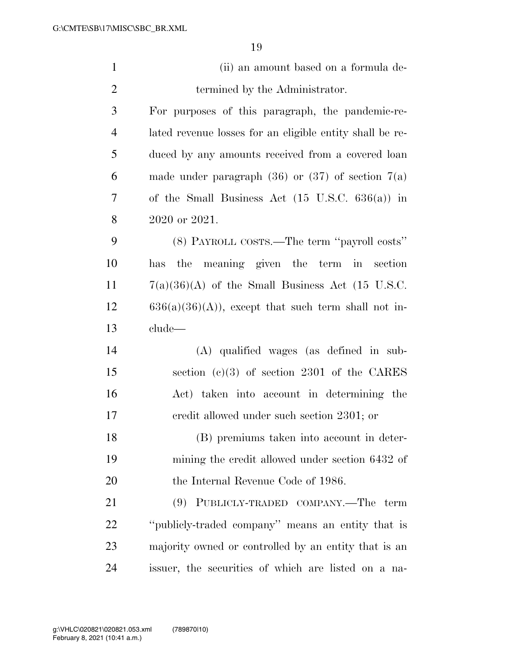| $\mathbf{1}$   | (ii) an amount based on a formula de-                      |
|----------------|------------------------------------------------------------|
| $\mathbf{2}$   | termined by the Administrator.                             |
| 3              | For purposes of this paragraph, the pandemic-re-           |
| $\overline{4}$ | lated revenue losses for an eligible entity shall be re-   |
| 5              | duced by any amounts received from a covered loan          |
| 6              | made under paragraph $(36)$ or $(37)$ of section $7(a)$    |
| 7              | of the Small Business Act $(15 \text{ U.S.C. } 636(a))$ in |
| 8              | 2020 or 2021.                                              |
| 9              | (8) PAYROLL COSTS.—The term "payroll costs"                |
| 10             | has the meaning given the term in section                  |
| 11             | $7(a)(36)(A)$ of the Small Business Act (15 U.S.C.         |
| 12             | $636(a)(36)(A)$ , except that such term shall not in-      |
| 13             | $_{\rm clude}$                                             |
| 14             | (A) qualified wages (as defined in sub-                    |
| 15             | section (c)(3) of section 2301 of the CARES                |
| 16             | Act) taken into account in determining the                 |
| 17             | eredit allowed under such section 2301; or                 |
| 18             | (B) premiums taken into account in deter-                  |
| 19             | mining the credit allowed under section 6432 of            |
| 20             | the Internal Revenue Code of 1986.                         |
| 21             | (9) PUBLICLY-TRADED COMPANY.—The term                      |
| 22             | "publicly-traded company" means an entity that is          |
| 23             | majority owned or controlled by an entity that is an       |
| 24             | issuer, the securities of which are listed on a na-        |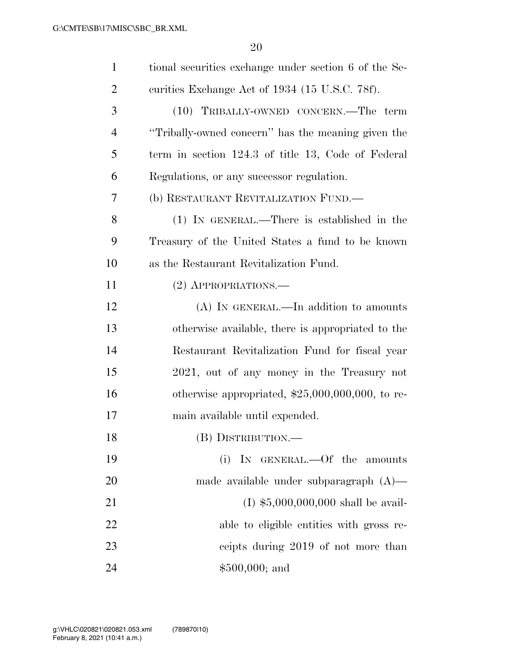| $\mathbf{1}$   | tional securities exchange under section 6 of the Se- |
|----------------|-------------------------------------------------------|
| $\overline{2}$ | curities Exchange Act of 1934 (15 U.S.C. 78f).        |
| 3              | (10) TRIBALLY-OWNED CONCERN.—The term                 |
| $\overline{4}$ | "Tribally-owned concern" has the meaning given the    |
| 5              | term in section 124.3 of title 13, Code of Federal    |
| 6              | Regulations, or any successor regulation.             |
| 7              | (b) RESTAURANT REVITALIZATION FUND.—                  |
| 8              | (1) IN GENERAL.—There is established in the           |
| 9              | Treasury of the United States a fund to be known      |
| 10             | as the Restaurant Revitalization Fund.                |
| 11             | (2) APPROPRIATIONS.                                   |
| 12             | $(A)$ In GENERAL.—In addition to amounts              |
| 13             | otherwise available, there is appropriated to the     |
| 14             | Restaurant Revitalization Fund for fiscal year        |
| 15             | 2021, out of any money in the Treasury not            |
| 16             | otherwise appropriated, $$25,000,000,000$ , to re-    |
| 17             | main available until expended.                        |
| 18             | (B) DISTRIBUTION.                                     |
| 19             | (i) IN GENERAL.—Of the amounts                        |
| 20             | made available under subparagraph $(A)$ —             |
| 21             | $(I)$ \$5,000,000,000 shall be avail-                 |
| 22             | able to eligible entities with gross re-              |
| 23             | ceipts during 2019 of not more than                   |
| 24             | $$500,000;$ and                                       |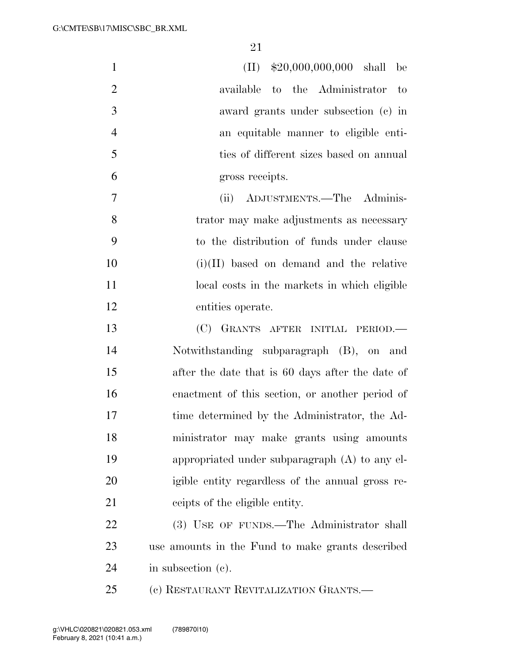| $\mathbf{1}$   | $(II)$ \$20,000,000,000 shall be                 |
|----------------|--------------------------------------------------|
| $\overline{2}$ | available to the Administrator to                |
| 3              | award grants under subsection (c) in             |
| $\overline{4}$ | an equitable manner to eligible enti-            |
| 5              | ties of different sizes based on annual          |
| 6              | gross receipts.                                  |
| $\tau$         | ADJUSTMENTS.-The Adminis-<br>(ii)                |
| 8              | trator may make adjustments as necessary         |
| 9              | to the distribution of funds under clause        |
| 10             | $(i)(II)$ based on demand and the relative       |
| 11             | local costs in the markets in which eligible     |
| 12             | entities operate.                                |
| 13             | (C) GRANTS AFTER INITIAL PERIOD.-                |
| 14             | Notwithstanding subparagraph (B), on and         |
| 15             | after the date that is 60 days after the date of |
| 16             | enactment of this section, or another period of  |
| 17             | time determined by the Administrator, the Ad-    |
| 18             | ministrator may make grants using amounts        |
| 19             | appropriated under subparagraph (A) to any el-   |
| 20             | igible entity regardless of the annual gross re- |
| 21             | ceipts of the eligible entity.                   |
| 22             | (3) USE OF FUNDS.—The Administrator shall        |
| 23             | use amounts in the Fund to make grants described |
| 24             | in subsection $(c)$ .                            |
| 25             | (c) RESTAURANT REVITALIZATION GRANTS.-           |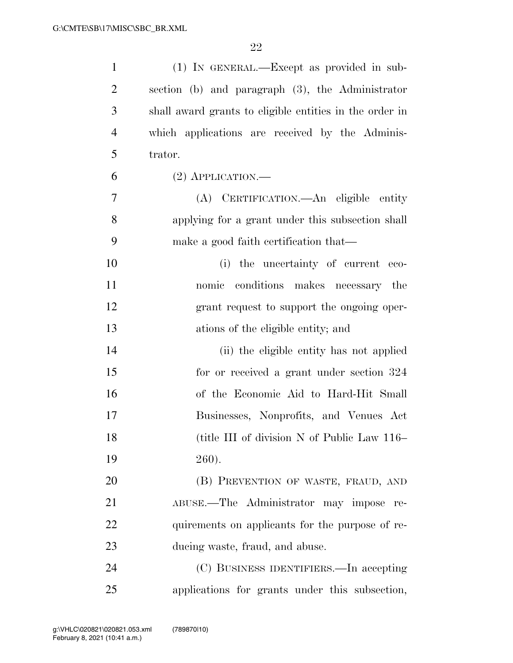| $\mathbf{1}$   | (1) IN GENERAL.—Except as provided in sub-              |
|----------------|---------------------------------------------------------|
| $\overline{2}$ | section (b) and paragraph (3), the Administrator        |
| 3              | shall award grants to eligible entities in the order in |
| 4              | which applications are received by the Adminis-         |
| 5              | trator.                                                 |
| 6              | $(2)$ APPLICATION.—                                     |
| 7              | (A) CERTIFICATION.—An eligible entity                   |
| 8              | applying for a grant under this subsection shall        |
| 9              | make a good faith certification that—                   |
| 10             | (i) the uncertainty of current eco-                     |
| 11             | nomic conditions makes necessary the                    |
| 12             | grant request to support the ongoing oper-              |
| 13             | ations of the eligible entity; and                      |
| 14             | (ii) the eligible entity has not applied                |
| 15             | for or received a grant under section 324               |
| 16             | of the Economic Aid to Hard-Hit Small                   |
| 17             | Businesses, Nonprofits, and Venues Act                  |
| 18             | (title III of division N of Public Law 116–             |
| 19             | 260).                                                   |
| 20             | (B) PREVENTION OF WASTE, FRAUD, AND                     |
| 21             | ABUSE.—The Administrator may impose re-                 |
| 22             | quirements on applicants for the purpose of re-         |
| 23             | ducing waste, fraud, and abuse.                         |
| 24             | (C) BUSINESS IDENTIFIERS.—In accepting                  |
| 25             | applications for grants under this subsection,          |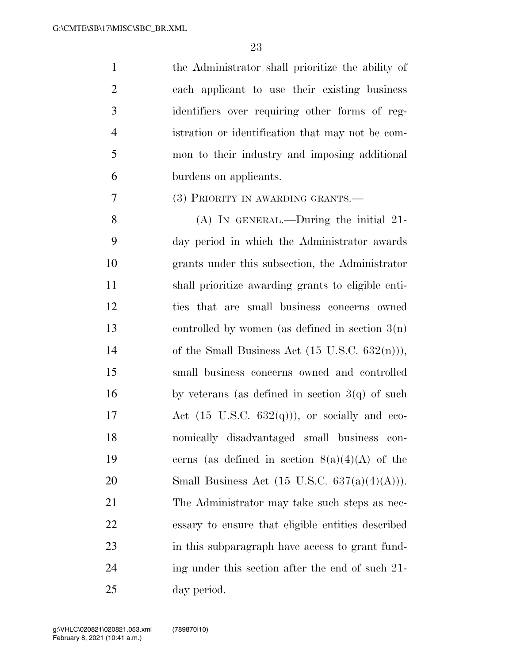the Administrator shall prioritize the ability of each applicant to use their existing business identifiers over requiring other forms of reg- istration or identification that may not be com- mon to their industry and imposing additional burdens on applicants.

# (3) PRIORITY IN AWARDING GRANTS.—

 (A) IN GENERAL.—During the initial 21- day period in which the Administrator awards grants under this subsection, the Administrator shall prioritize awarding grants to eligible enti- ties that are small business concerns owned controlled by women (as defined in section 3(n) 14 of the Small Business Act  $(15 \text{ U.S.C. } 632(\text{n}))),$  small business concerns owned and controlled 16 by veterans (as defined in section  $3(q)$  of such 17 Act  $(15 \text{ U.S.C. } 632(q))$ , or socially and eco- nomically disadvantaged small business con-19 cerns (as defined in section  $8(a)(4)(A)$  of the 20 Small Business Act  $(15 \text{ U.S.C. } 637(a)(4)(A))).$  The Administrator may take such steps as nec- essary to ensure that eligible entities described in this subparagraph have access to grant fund- ing under this section after the end of such 21- day period.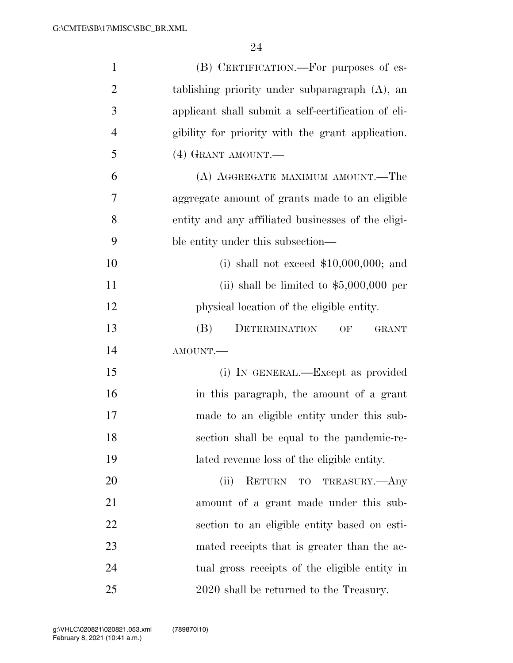| $\mathbf{1}$   | (B) CERTIFICATION.—For purposes of es-              |
|----------------|-----------------------------------------------------|
| $\overline{2}$ | tablishing priority under subparagraph $(A)$ , an   |
| 3              | applicant shall submit a self-certification of eli- |
| $\overline{4}$ | gibility for priority with the grant application.   |
| 5              | $(4)$ GRANT AMOUNT.—                                |
| 6              | (A) AGGREGATE MAXIMUM AMOUNT.—The                   |
| 7              | aggregate amount of grants made to an eligible      |
| 8              | entity and any affiliated businesses of the eligi-  |
| 9              | ble entity under this subsection—                   |
| 10             | (i) shall not exceed $$10,000,000$ ; and            |
| 11             | (ii) shall be limited to $$5,000,000$ per           |
| 12             | physical location of the eligible entity.           |
| 13             | DETERMINATION<br>(B)<br>OF<br><b>GRANT</b>          |
| 14             | AMOUNT.                                             |
| 15             | (i) IN GENERAL.—Except as provided                  |
| 16             | in this paragraph, the amount of a grant            |
| 17             | made to an eligible entity under this sub-          |
| 18             | section shall be equal to the pandemic-re-          |
| 19             | lated revenue loss of the eligible entity.          |
| 20             | (ii)<br>RETURN TO TREASURY.—Any                     |
| 21             | amount of a grant made under this sub-              |
| 22             | section to an eligible entity based on esti-        |
| 23             | mated receipts that is greater than the ac-         |
| 24             | tual gross receipts of the eligible entity in       |
| 25             | 2020 shall be returned to the Treasury.             |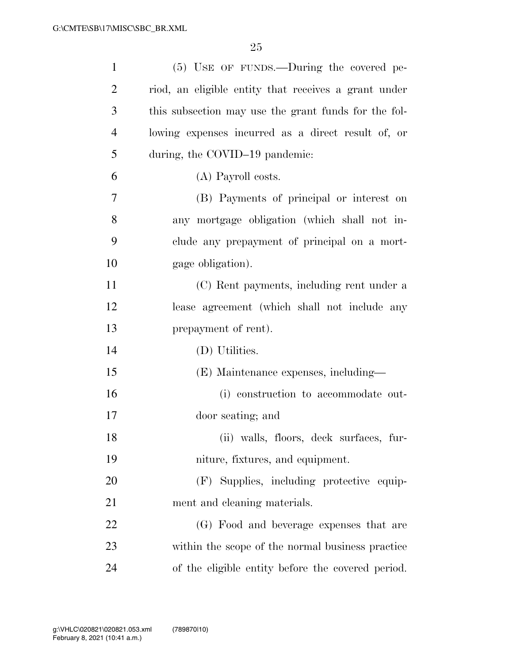| $\mathbf{1}$   | (5) USE OF FUNDS.—During the covered pe-             |
|----------------|------------------------------------------------------|
| 2              | riod, an eligible entity that receives a grant under |
| 3              | this subsection may use the grant funds for the fol- |
| $\overline{4}$ | lowing expenses incurred as a direct result of, or   |
| 5              | during, the COVID-19 pandemic:                       |
| 6              | (A) Payroll costs.                                   |
| 7              | (B) Payments of principal or interest on             |
| 8              | any mortgage obligation (which shall not in-         |
| 9              | clude any prepayment of principal on a mort-         |
| 10             | gage obligation).                                    |
| 11             | (C) Rent payments, including rent under a            |
| 12             | lease agreement (which shall not include any         |
| 13             | prepayment of rent).                                 |
| 14             | (D) Utilities.                                       |
| 15             | (E) Maintenance expenses, including—                 |
| 16             | (i) construction to accommodate out-                 |
| 17             | door seating; and                                    |
| 18             | (ii) walls, floors, deck surfaces, fur-              |
| 19             | niture, fixtures, and equipment.                     |
| 20             | (F) Supplies, including protective equip-            |
| 21             | ment and cleaning materials.                         |
| 22             | (G) Food and beverage expenses that are              |
| 23             | within the scope of the normal business practice     |
| 24             | of the eligible entity before the covered period.    |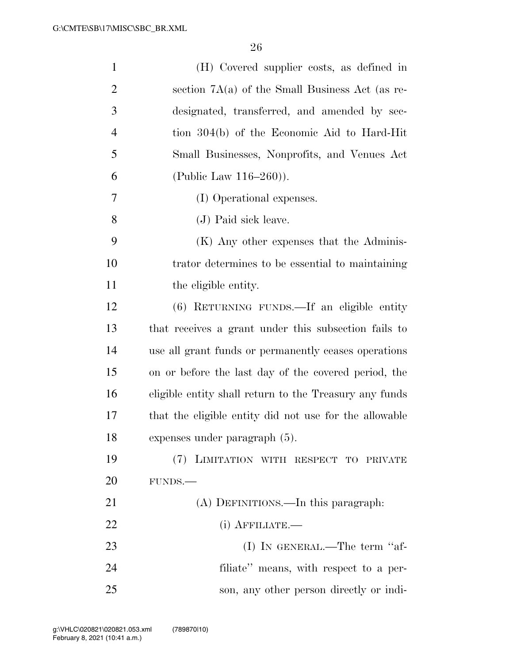| $\mathbf{1}$   | (H) Covered supplier costs, as defined in              |
|----------------|--------------------------------------------------------|
| 2              | section $7A(a)$ of the Small Business Act (as re-      |
| 3              | designated, transferred, and amended by sec-           |
| $\overline{4}$ | tion 304(b) of the Economic Aid to Hard-Hit            |
| 5              | Small Businesses, Nonprofits, and Venues Act           |
| 6              | (Public Law $116-260$ ).                               |
| 7              | (I) Operational expenses.                              |
| 8              | (J) Paid sick leave.                                   |
| 9              | (K) Any other expenses that the Adminis-               |
| 10             | trator determines to be essential to maintaining       |
| 11             | the eligible entity.                                   |
| 12             | (6) RETURNING FUNDS.—If an eligible entity             |
| 13             | that receives a grant under this subsection fails to   |
| 14             | use all grant funds or permanently ceases operations   |
| 15             | on or before the last day of the covered period, the   |
| 16             | eligible entity shall return to the Treasury any funds |
| 17             | that the eligible entity did not use for the allowable |
| 18             | expenses under paragraph (5).                          |
| 19             | (7) LIMITATION WITH RESPECT TO PRIVATE                 |
| 20             | FUNDS.                                                 |
| 21             | (A) DEFINITIONS.—In this paragraph:                    |
| 22             | $(i)$ AFFILIATE.—                                      |
| 23             | (I) IN GENERAL.—The term "af-                          |
| 24             | filiate" means, with respect to a per-                 |
| 25             | son, any other person directly or indi-                |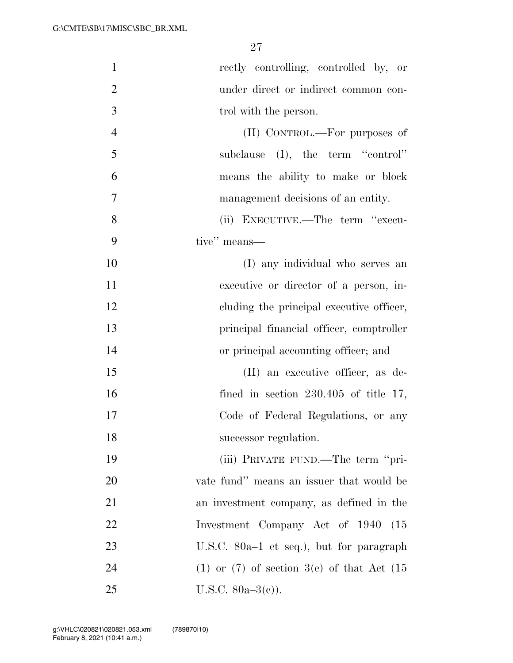| $\mathbf{1}$   | rectly controlling, controlled by, or             |
|----------------|---------------------------------------------------|
| $\overline{2}$ | under direct or indirect common con-              |
| 3              | trol with the person.                             |
| $\overline{4}$ | (II) CONTROL.—For purposes of                     |
| 5              | subclause $(I)$ , the term "control"              |
| 6              | means the ability to make or block                |
| 7              | management decisions of an entity.                |
| 8              | (ii) EXECUTIVE.—The term "execu-                  |
| 9              | tive" means—                                      |
| 10             | (I) any individual who serves an                  |
| 11             | executive or director of a person, in-            |
| 12             | cluding the principal executive officer,          |
| 13             | principal financial officer, comptroller          |
| 14             | or principal accounting officer; and              |
| 15             | (II) an executive officer, as de-                 |
| 16             | fined in section $230.405$ of title 17,           |
| 17             | Code of Federal Regulations, or any               |
| 18             | successor regulation.                             |
| 19             | (iii) PRIVATE FUND.—The term "pri-                |
| 20             | vate fund" means an issuer that would be          |
| 21             | an investment company, as defined in the          |
| 22             | Investment Company Act of 1940<br>(15)            |
| 23             | U.S.C. $80a-1$ et seq.), but for paragraph        |
| 24             | $(1)$ or $(7)$ of section 3(c) of that Act $(15)$ |
| 25             | U.S.C. $80a-3(c)$ ).                              |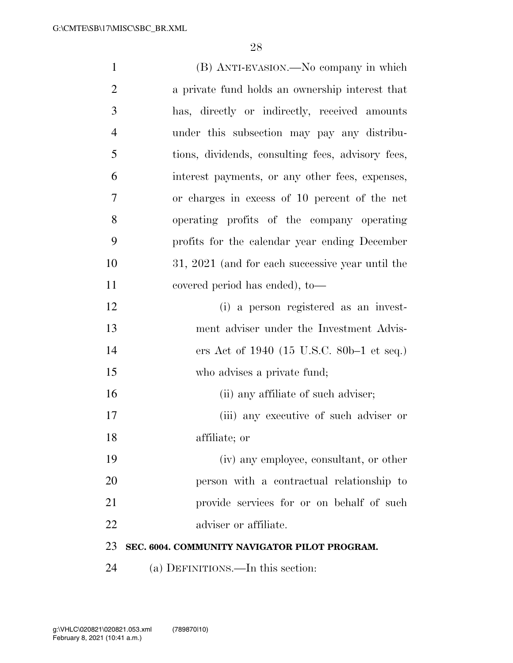| $\mathbf{1}$   | (B) ANTI-EVASION.—No company in which             |
|----------------|---------------------------------------------------|
| $\overline{2}$ | a private fund holds an ownership interest that   |
| 3              | has, directly or indirectly, received amounts     |
| $\overline{4}$ | under this subsection may pay any distribu-       |
| 5              | tions, dividends, consulting fees, advisory fees, |
| 6              | interest payments, or any other fees, expenses,   |
| 7              | or charges in excess of 10 percent of the net     |
| 8              | operating profits of the company operating        |
| 9              | profits for the calendar year ending December     |
| 10             | 31, 2021 (and for each successive year until the  |
| 11             | covered period has ended), to-                    |
| 12             | (i) a person registered as an invest-             |
| 13             | ment adviser under the Investment Advis-          |
| 14             | ers Act of 1940 (15 U.S.C. 80b–1 et seq.)         |
| 15             | who advises a private fund;                       |
| 16             | (ii) any affiliate of such adviser;               |
| 17             | (iii) any executive of such adviser or            |
| 18             | affiliate; or                                     |
| 19             | (iv) any employee, consultant, or other           |
| 20             | person with a contractual relationship to         |
| 21             | provide services for or on behalf of such         |
| 22             | adviser or affiliate.                             |
| 23             | SEC. 6004. COMMUNITY NAVIGATOR PILOT PROGRAM.     |
| 24             | (a) DEFINITIONS.—In this section:                 |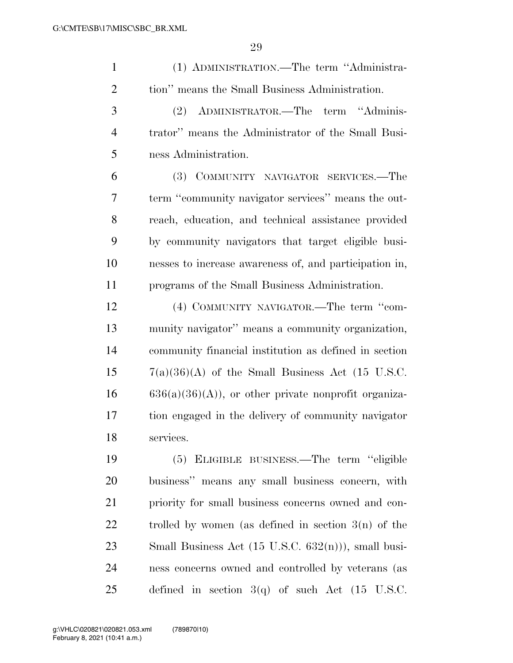| $\mathbf{1}$   | (1) ADMINISTRATION.—The term "Administra-              |
|----------------|--------------------------------------------------------|
| $\overline{2}$ | tion" means the Small Business Administration.         |
| 3              | (2) ADMINISTRATOR.—The term "Adminis-                  |
| $\overline{4}$ | trator" means the Administrator of the Small Busi-     |
| 5              | ness Administration.                                   |
| 6              | (3) COMMUNITY NAVIGATOR SERVICES.-The                  |
| 7              | term "community navigator services" means the out-     |
| 8              | reach, education, and technical assistance provided    |
| 9              | by community navigators that target eligible busi-     |
| 10             | nesses to increase awareness of, and participation in, |
| 11             | programs of the Small Business Administration.         |
| 12             | (4) COMMUNITY NAVIGATOR.—The term "com-                |
| 13             | munity navigator" means a community organization,      |
| 14             | community financial institution as defined in section  |
| 15             | $7(a)(36)(A)$ of the Small Business Act (15 U.S.C.     |
| 16             | $636(a)(36)(A)$ , or other private nonprofit organiza- |
| 17             | tion engaged in the delivery of community navigator    |
| 18             | services.                                              |
| 19             | (5) ELIGIBLE BUSINESS.—The term "eligible              |
| 20             | business" means any small business concern, with       |
| 21             | priority for small business concerns owned and con-    |
| 22             | trolled by women (as defined in section $3(n)$ of the  |

 Small Business Act (15 U.S.C. 632(n))), small busi- ness concerns owned and controlled by veterans (as defined in section 3(q) of such Act (15 U.S.C.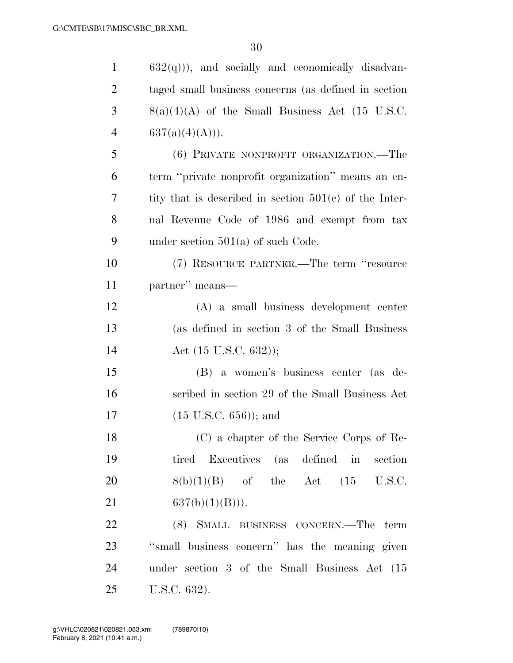| $\mathbf{1}$   | $632(q)$ ), and socially and economically disadvan-      |
|----------------|----------------------------------------------------------|
| $\overline{2}$ | taged small business concerns (as defined in section     |
| 3              | $8(a)(4)(A)$ of the Small Business Act (15 U.S.C.        |
| 4              | 637(a)(4)(A))).                                          |
| 5              | (6) PRIVATE NONPROFIT ORGANIZATION.—The                  |
| 6              | term "private nonprofit organization" means an en-       |
| 7              | tity that is described in section $501(c)$ of the Inter- |
| 8              | nal Revenue Code of 1986 and exempt from tax             |
| 9              | under section $501(a)$ of such Code.                     |
| 10             | (7) RESOURCE PARTNER.—The term "resource                 |
| 11             | partner" means—                                          |
| 12             | $(A)$ a small business development center                |
| 13             | (as defined in section 3 of the Small Business           |
| 14             | Act $(15 \text{ U.S.C. } 632)$ );                        |
| 15             | (B) a women's business center (as de-                    |
| 16             | scribed in section 29 of the Small Business Act          |
| 17             | $(15 \text{ U.S.C. } 656)$ ; and                         |
| 18             | (C) a chapter of the Service Corps of Re-                |
| 19             | tired Executives (as defined in section                  |
| 20             | $8(b)(1)(B)$ of the Act $(15 \text{ U.S.C.})$            |
| 21             | $637(b)(1)(B))$ .                                        |
| 22             | (8) SMALL BUSINESS CONCERN.—The term                     |
| 23             | "small business concern" has the meaning given           |
| 24             | under section 3 of the Small Business Act (15            |
| 25             | U.S.C. 632).                                             |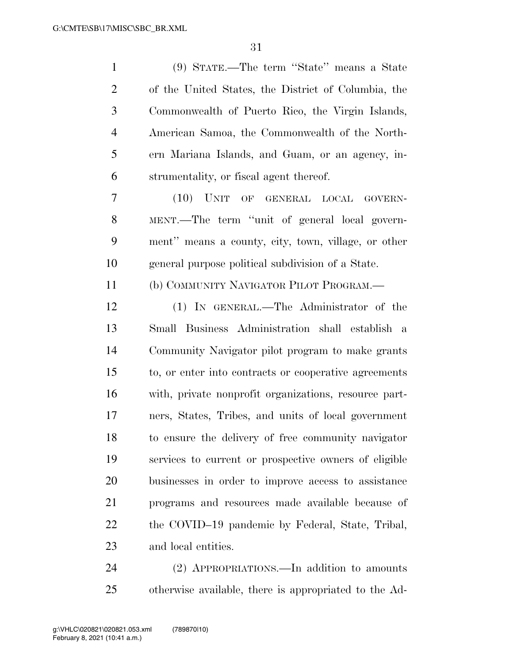(9) STATE.—The term ''State'' means a State of the United States, the District of Columbia, the Commonwealth of Puerto Rico, the Virgin Islands, American Samoa, the Commonwealth of the North- ern Mariana Islands, and Guam, or an agency, in- strumentality, or fiscal agent thereof. (10) UNIT OF GENERAL LOCAL GOVERN- MENT.—The term ''unit of general local govern- ment'' means a county, city, town, village, or other general purpose political subdivision of a State. (b) COMMUNITY NAVIGATOR PILOT PROGRAM.— (1) IN GENERAL.—The Administrator of the Small Business Administration shall establish a Community Navigator pilot program to make grants to, or enter into contracts or cooperative agreements with, private nonprofit organizations, resource part- ners, States, Tribes, and units of local government to ensure the delivery of free community navigator services to current or prospective owners of eligible businesses in order to improve access to assistance programs and resources made available because of the COVID–19 pandemic by Federal, State, Tribal, and local entities.

 (2) APPROPRIATIONS.—In addition to amounts otherwise available, there is appropriated to the Ad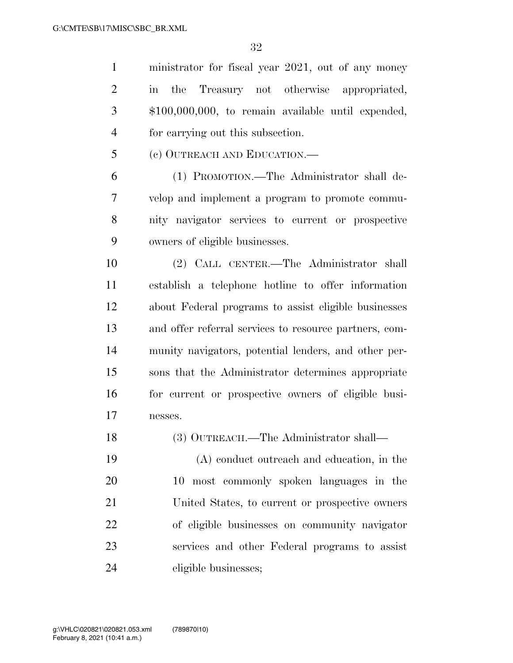ministrator for fiscal year 2021, out of any money in the Treasury not otherwise appropriated, \$100,000,000, to remain available until expended, for carrying out this subsection.

(c) OUTREACH AND EDUCATION.—

 (1) PROMOTION.—The Administrator shall de- velop and implement a program to promote commu- nity navigator services to current or prospective owners of eligible businesses.

 (2) CALL CENTER.—The Administrator shall establish a telephone hotline to offer information about Federal programs to assist eligible businesses and offer referral services to resource partners, com- munity navigators, potential lenders, and other per- sons that the Administrator determines appropriate for current or prospective owners of eligible busi-nesses.

(3) OUTREACH.—The Administrator shall—

 (A) conduct outreach and education, in the 10 most commonly spoken languages in the United States, to current or prospective owners of eligible businesses on community navigator services and other Federal programs to assist eligible businesses;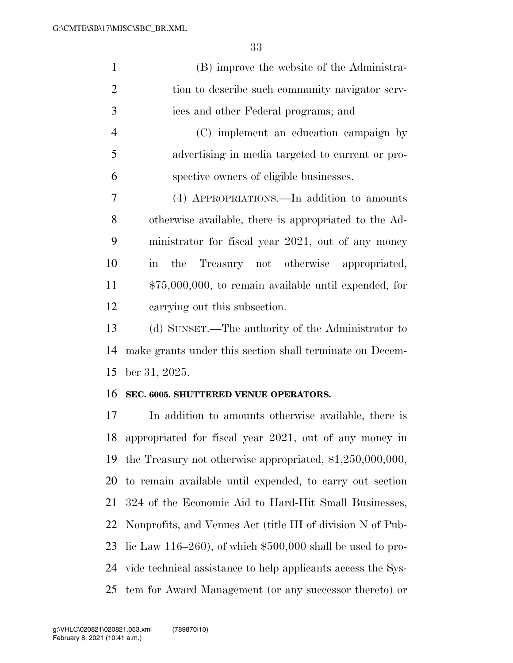| (B) improve the website of the Administra-      |
|-------------------------------------------------|
| tion to describe such community navigator serv- |
| ices and other Federal programs; and            |
| (C) implement an education campaign by          |
|                                                 |

 advertising in media targeted to current or pro-spective owners of eligible businesses.

 (4) APPROPRIATIONS.—In addition to amounts otherwise available, there is appropriated to the Ad- ministrator for fiscal year 2021, out of any money in the Treasury not otherwise appropriated, \$75,000,000, to remain available until expended, for carrying out this subsection.

 (d) SUNSET.—The authority of the Administrator to make grants under this section shall terminate on Decem-ber 31, 2025.

#### **SEC. 6005. SHUTTERED VENUE OPERATORS.**

 In addition to amounts otherwise available, there is appropriated for fiscal year 2021, out of any money in the Treasury not otherwise appropriated, \$1,250,000,000, to remain available until expended, to carry out section 324 of the Economic Aid to Hard-Hit Small Businesses, Nonprofits, and Venues Act (title III of division N of Pub- lic Law 116–260), of which \$500,000 shall be used to pro- vide technical assistance to help applicants access the Sys-tem for Award Management (or any successor thereto) or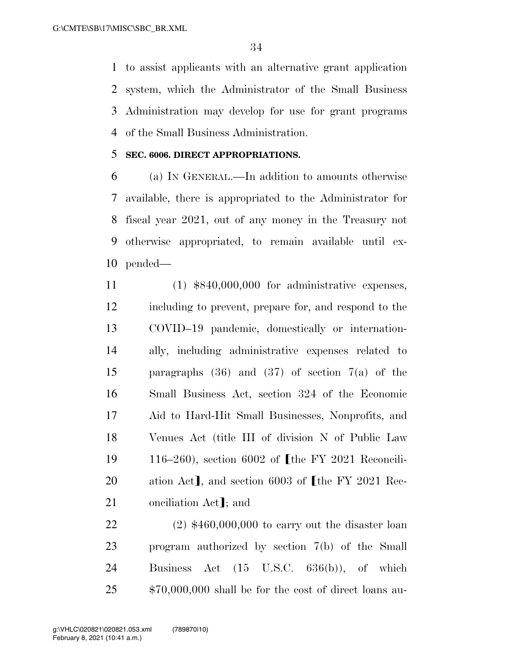to assist applicants with an alternative grant application system, which the Administrator of the Small Business Administration may develop for use for grant programs of the Small Business Administration.

## **SEC. 6006. DIRECT APPROPRIATIONS.**

 (a) IN GENERAL.—In addition to amounts otherwise available, there is appropriated to the Administrator for fiscal year 2021, out of any money in the Treasury not otherwise appropriated, to remain available until ex-pended—

 (1) \$840,000,000 for administrative expenses, including to prevent, prepare for, and respond to the COVID–19 pandemic, domestically or internation- ally, including administrative expenses related to paragraphs (36) and (37) of section 7(a) of the Small Business Act, section 324 of the Economic Aid to Hard-Hit Small Businesses, Nonprofits, and Venues Act (title III of division N of Public Law 19 116–260), section 6002 of  $\lceil \text{the FY } 2021 \rceil$  Reconcili-20 ation Act], and section 6003 of  $\lceil \text{the FY } 2021 \rceil$  Rec-21 onciliation Act]; and

 (2) \$460,000,000 to carry out the disaster loan program authorized by section 7(b) of the Small Business Act (15 U.S.C. 636(b)), of which \$70,000,000 shall be for the cost of direct loans au